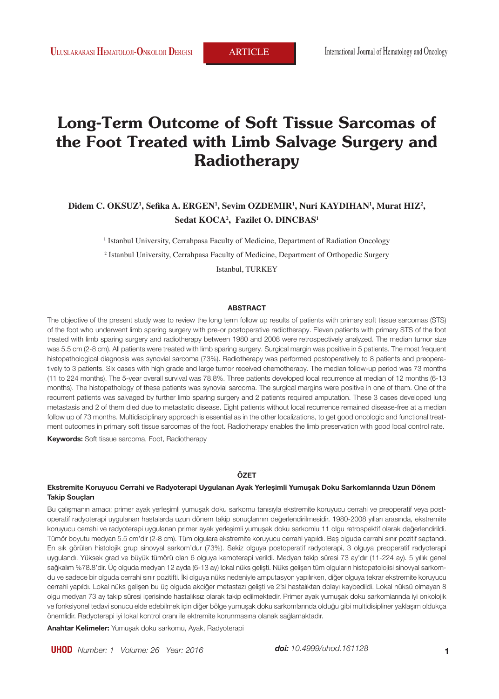# **Long-Term Outcome of Soft Tissue Sarcomas of the Foot Treated with Limb Salvage Surgery and Radiotherapy**

# **Didem C. OKSUZ1 , Sefika A. ERGEN<sup>1</sup> , Sevim OZDEMIR<sup>1</sup> , Nuri KAYDIHAN<sup>1</sup> , Murat HIZ<sup>2</sup> , Sedat KOCA<sup>2</sup> , Fazilet O. DINCBAS<sup>1</sup>**

<sup>1</sup> Istanbul University, Cerrahpasa Faculty of Medicine, Department of Radiation Oncology

2 Istanbul University, Cerrahpasa Faculty of Medicine, Department of Orthopedic Surgery

Istanbul, TURKEY

## **ABSTRACT**

The objective of the present study was to review the long term follow up results of patients with primary soft tissue sarcomas (STS) of the foot who underwent limb sparing surgery with pre-or postoperative radiotherapy. Eleven patients with primary STS of the foot treated with limb sparing surgery and radiotherapy between 1980 and 2008 were retrospectively analyzed. The median tumor size was 5.5 cm (2-8 cm). All patients were treated with limb sparing surgery. Surgical margin was positive in 5 patients. The most frequent histopathological diagnosis was synovial sarcoma (73%). Radiotherapy was performed postoperatively to 8 patients and preoperatively to 3 patients. Six cases with high grade and large tumor received chemotherapy. The median follow-up period was 73 months (11 to 224 months). The 5-year overall survival was 78.8%. Three patients developed local recurrence at median of 12 months (6-13 months). The histopathology of these patients was synovial sarcoma. The surgical margins were positive in one of them. One of the recurrent patients was salvaged by further limb sparing surgery and 2 patients required amputation. These 3 cases developed lung metastasis and 2 of them died due to metastatic disease. Eight patients without local recurrence remained disease-free at a median follow up of 73 months. Multidisciplinary approach is essential as in the other localizations, to get good oncologic and functional treatment outcomes in primary soft tissue sarcomas of the foot. Radiotherapy enables the limb preservation with good local control rate.

**Keywords:** Soft tissue sarcoma, Foot, Radiotherapy

### **ÖZET**

#### **Ekstremite Koruyucu Cerrahi ve Radyoterapi Uygulanan Ayak Yerleşimli Yumuşak Doku Sarkomlarında Uzun Dönem Takip Souçları**

Bu çalışmanın amacı; primer ayak yerleşimli yumuşak doku sarkomu tanısıyla ekstremite koruyucu cerrahi ve preoperatif veya postoperatif radyoterapi uygulanan hastalarda uzun dönem takip sonuçlarının değerlendirilmesidir. 1980-2008 yılları arasında, ekstremite koruyucu cerrahi ve radyoterapi uygulanan primer ayak yerleşimli yumuşak doku sarkomlu 11 olgu retrospektif olarak değerlendirildi. Tümör boyutu medyan 5.5 cm'dir (2-8 cm). Tüm olgulara ekstremite koruyucu cerrahi yapıldı. Beş olguda cerrahi sınır pozitif saptandı. En sık görülen histolojik grup sinovyal sarkom'dur (73%). Sekiz olguya postoperatif radyoterapi, 3 olguya preoperatif radyoterapi uygulandı. Yüksek grad ve büyük tümörü olan 6 olguya kemoterapi verildi. Medyan takip süresi 73 ay'dır (11-224 ay). 5 yıllık genel sağkalım %78.8'dir. Üç olguda medyan 12 ayda (6-13 ay) lokal nüks gelişti. Nüks gelişen tüm olguların histopatolojisi sinovyal sarkomdu ve sadece bir olguda cerrahi sınır pozitifti. İki olguya nüks nedeniyle amputasyon yapılırken, diğer olguya tekrar ekstremite koruyucu cerrahi yapıldı. Lokal nüks gelişen bu üç olguda akciğer metastazı gelişti ve 2'si hastalıktan dolayı kaybedildi. Lokal nüksü olmayan 8 olgu medyan 73 ay takip süresi içerisinde hastalıksız olarak takip edilmektedir. Primer ayak yumuşak doku sarkomlarında iyi onkolojik ve fonksiyonel tedavi sonucu elde edebilmek için diğer bölge yumuşak doku sarkomlarında olduğu gibi multidisipliner yaklaşım oldukça önemlidir. Radyoterapi iyi lokal kontrol oranı ile ektremite korunmasına olanak sağlamaktadır.

**Anahtar Kelimeler:** Yumuşak doku sarkomu, Ayak, Radyoterapi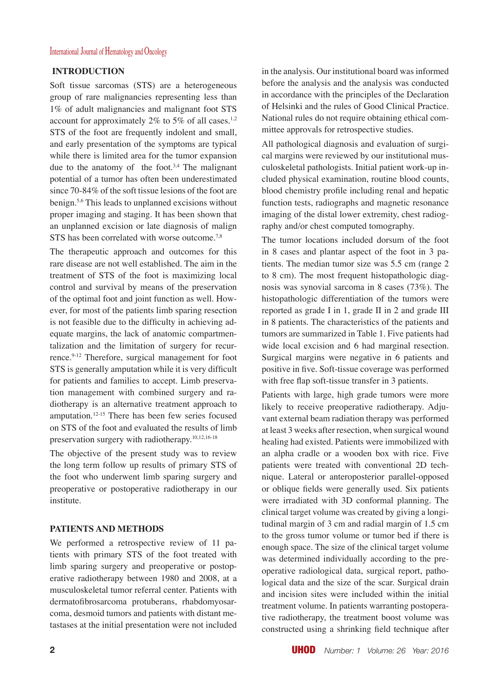# International Journal of Hematology and Oncology

# **INTRODUCTION**

Soft tissue sarcomas (STS) are a heterogeneous group of rare malignancies representing less than 1% of adult malignancies and malignant foot STS account for approximately 2% to 5% of all cases.<sup>1,2</sup> STS of the foot are frequently indolent and small, and early presentation of the symptoms are typical while there is limited area for the tumor expansion due to the anatomy of the foot.<sup>3,4</sup> The malignant potential of a tumor has often been underestimated since 70-84% of the soft tissue lesions of the foot are benign.5,6 This leads to unplanned excisions without proper imaging and staging. It has been shown that an unplanned excision or late diagnosis of malign STS has been correlated with worse outcome.<sup>7,8</sup>

The therapeutic approach and outcomes for this rare disease are not well established. The aim in the treatment of STS of the foot is maximizing local control and survival by means of the preservation of the optimal foot and joint function as well. However, for most of the patients limb sparing resection is not feasible due to the difficulty in achieving adequate margins, the lack of anatomic compartmentalization and the limitation of surgery for recurrence.9-12 Therefore, surgical management for foot STS is generally amputation while it is very difficult for patients and families to accept. Limb preservation management with combined surgery and radiotherapy is an alternative treatment approach to amputation.12-15 There has been few series focused on STS of the foot and evaluated the results of limb preservation surgery with radiotherapy.10,12,16-18

The objective of the present study was to review the long term follow up results of primary STS of the foot who underwent limb sparing surgery and preoperative or postoperative radiotherapy in our institute.

# **PATIENTS AND METHODS**

We performed a retrospective review of 11 patients with primary STS of the foot treated with limb sparing surgery and preoperative or postoperative radiotherapy between 1980 and 2008, at a musculoskeletal tumor referral center. Patients with dermatofibrosarcoma protuberans, rhabdomyosarcoma, desmoid tumors and patients with distant metastases at the initial presentation were not included in the analysis. Our institutional board was informed before the analysis and the analysis was conducted in accordance with the principles of the Declaration of Helsinki and the rules of Good Clinical Practice. National rules do not require obtaining ethical committee approvals for retrospective studies.

All pathological diagnosis and evaluation of surgical margins were reviewed by our institutional musculoskeletal pathologists. Initial patient work-up included physical examination, routine blood counts, blood chemistry profile including renal and hepatic function tests, radiographs and magnetic resonance imaging of the distal lower extremity, chest radiography and/or chest computed tomography.

The tumor locations included dorsum of the foot in 8 cases and plantar aspect of the foot in 3 patients. The median tumor size was 5.5 cm (range 2 to 8 cm). The most frequent histopathologic diagnosis was synovial sarcoma in 8 cases (73%). The histopathologic differentiation of the tumors were reported as grade I in 1, grade II in 2 and grade III in 8 patients. The characteristics of the patients and tumors are summarized in Table 1. Five patients had wide local excision and 6 had marginal resection. Surgical margins were negative in 6 patients and positive in five. Soft-tissue coverage was performed with free flap soft-tissue transfer in 3 patients.

Patients with large, high grade tumors were more likely to receive preoperative radiotherapy. Adjuvant external beam radiation therapy was performed at least 3 weeks after resection, when surgical wound healing had existed. Patients were immobilized with an alpha cradle or a wooden box with rice. Five patients were treated with conventional 2D technique. Lateral or anteroposterior parallel-opposed or oblique fields were generally used. Six patients were irradiated with 3D conformal planning. The clinical target volume was created by giving a longitudinal margin of 3 cm and radial margin of 1.5 cm to the gross tumor volume or tumor bed if there is enough space. The size of the clinical target volume was determined individually according to the preoperative radiological data, surgical report, pathological data and the size of the scar. Surgical drain and incision sites were included within the initial treatment volume. In patients warranting postoperative radiotherapy, the treatment boost volume was constructed using a shrinking field technique after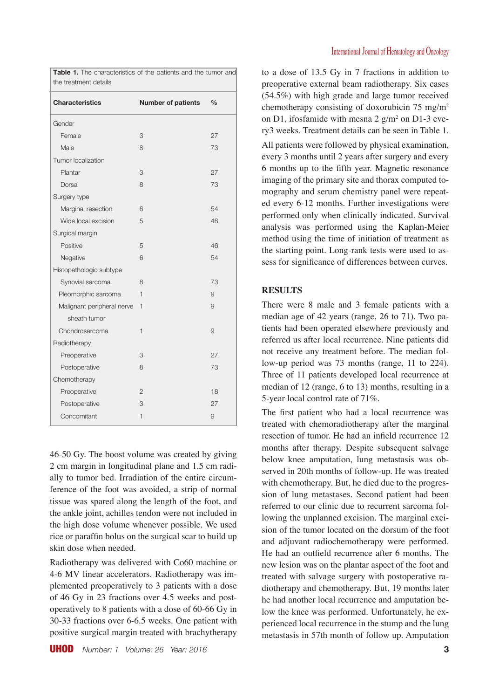| the treatment details      |                           |               |  |  |  |
|----------------------------|---------------------------|---------------|--|--|--|
| <b>Characteristics</b>     | <b>Number of patients</b> | $\frac{0}{0}$ |  |  |  |
| Gender                     |                           |               |  |  |  |
| Female                     | 3                         | 27            |  |  |  |
| Male                       | 8                         | 73            |  |  |  |
| Tumor localization         |                           |               |  |  |  |
| Plantar                    | 3                         | 27            |  |  |  |
| Dorsal                     | 8                         | 73            |  |  |  |
| Surgery type               |                           |               |  |  |  |
| Marginal resection         | 6                         | 54            |  |  |  |
| Wide local excision        | 5                         | 46            |  |  |  |
| Surgical margin            |                           |               |  |  |  |
| Positive                   | 5                         | 46            |  |  |  |
| Negative                   | 6                         | 54            |  |  |  |
| Histopathologic subtype    |                           |               |  |  |  |
| Synovial sarcoma           | 8                         | 73            |  |  |  |
| Pleomorphic sarcoma        | $\mathbf{1}$              | 9             |  |  |  |
| Malignant peripheral nerve | 1                         | 9             |  |  |  |
| sheath tumor               |                           |               |  |  |  |
| Chondrosarcoma             | 1                         | 9             |  |  |  |
| Radiotherapy               |                           |               |  |  |  |
| Preoperative               | 3                         | 27            |  |  |  |
| Postoperative              | 8                         | 73            |  |  |  |
| Chemotherapy               |                           |               |  |  |  |
| Preoperative               | $\overline{2}$            | 18            |  |  |  |
| Postoperative              | 3                         | 27            |  |  |  |
| Concomitant                | 1                         | $\Theta$      |  |  |  |

**Table 1.** The characteristics of the patients and the tumor and

46-50 Gy. The boost volume was created by giving 2 cm margin in longitudinal plane and 1.5 cm radially to tumor bed. Irradiation of the entire circumference of the foot was avoided, a strip of normal tissue was spared along the length of the foot, and the ankle joint, achilles tendon were not included in the high dose volume whenever possible. We used rice or paraffin bolus on the surgical scar to build up skin dose when needed.

Radiotherapy was delivered with Co60 machine or 4-6 MV linear accelerators. Radiotherapy was implemented preoperatively to 3 patients with a dose of 46 Gy in 23 fractions over 4.5 weeks and postoperatively to 8 patients with a dose of 60-66 Gy in 30-33 fractions over 6-6.5 weeks. One patient with positive surgical margin treated with brachytherapy to a dose of 13.5 Gy in 7 fractions in addition to preoperative external beam radiotherapy. Six cases (54.5%) with high grade and large tumor received chemotherapy consisting of doxorubicin 75 mg/m2 on D1, ifosfamide with mesna 2  $g/m^2$  on D1-3 every3 weeks. Treatment details can be seen in Table 1. All patients were followed by physical examination, every 3 months until 2 years after surgery and every 6 months up to the fifth year. Magnetic resonance imaging of the primary site and thorax computed tomography and serum chemistry panel were repeated every 6-12 months. Further investigations were performed only when clinically indicated. Survival analysis was performed using the Kaplan-Meier method using the time of initiation of treatment as the starting point. Long-rank tests were used to assess for significance of differences between curves.

# **RESULTS**

There were 8 male and 3 female patients with a median age of 42 years (range, 26 to 71). Two patients had been operated elsewhere previously and referred us after local recurrence. Nine patients did not receive any treatment before. The median follow-up period was 73 months (range, 11 to 224). Three of 11 patients developed local recurrence at median of 12 (range, 6 to 13) months, resulting in a 5-year local control rate of 71%.

The first patient who had a local recurrence was treated with chemoradiotherapy after the marginal resection of tumor. He had an infield recurrence 12 months after therapy. Despite subsequent salvage below knee amputation, lung metastasis was observed in 20th months of follow-up. He was treated with chemotherapy. But, he died due to the progression of lung metastases. Second patient had been referred to our clinic due to recurrent sarcoma following the unplanned excision. The marginal excision of the tumor located on the dorsum of the foot and adjuvant radiochemotherapy were performed. He had an outfield recurrence after 6 months. The new lesion was on the plantar aspect of the foot and treated with salvage surgery with postoperative radiotherapy and chemotherapy. But, 19 months later he had another local recurrence and amputation below the knee was performed. Unfortunately, he experienced local recurrence in the stump and the lung metastasis in 57th month of follow up. Amputation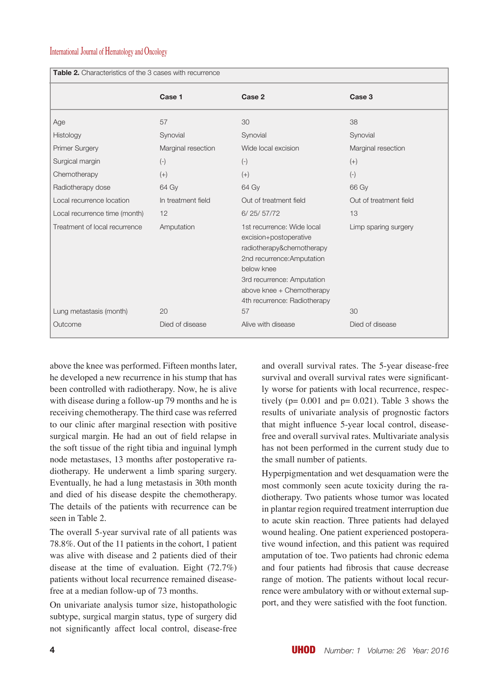# International Journal of Hematology and Oncology

| <b>Table 2.</b> Characteristics of the 3 cases with recurrence |                    |                                                                                                                                                                                                                          |                        |  |  |
|----------------------------------------------------------------|--------------------|--------------------------------------------------------------------------------------------------------------------------------------------------------------------------------------------------------------------------|------------------------|--|--|
|                                                                | Case 1             | Case 2                                                                                                                                                                                                                   | Case 3                 |  |  |
| Age                                                            | 57                 | 30                                                                                                                                                                                                                       | 38                     |  |  |
| Histology                                                      | Synovial           | Synovial                                                                                                                                                                                                                 | Synovial               |  |  |
| Primer Surgery                                                 | Marginal resection | Wide local excision                                                                                                                                                                                                      | Marginal resection     |  |  |
| Surgical margin                                                | $(-)$              | $(-)$                                                                                                                                                                                                                    | $(+)$                  |  |  |
| Chemotherapy                                                   | $(+)$              | $(+)$                                                                                                                                                                                                                    | $(-)$                  |  |  |
| Radiotherapy dose                                              | 64 Gy              | 64 Gv                                                                                                                                                                                                                    | 66 Gv                  |  |  |
| Local recurrence location                                      | In treatment field | Out of treatment field                                                                                                                                                                                                   | Out of treatment field |  |  |
| Local recurrence time (month)                                  | 12                 | 6/25/57/72                                                                                                                                                                                                               | 13                     |  |  |
| Treatment of local recurrence                                  | Amputation         | 1st recurrence: Wide local<br>excision+postoperative<br>radiotherapy&chemotherapy<br>2nd recurrence: Amputation<br>below knee<br>3rd recurrence: Amputation<br>above knee + Chemotherapy<br>4th recurrence: Radiotherapy | Limp sparing surgery   |  |  |
| Lung metastasis (month)                                        | 20                 | 57                                                                                                                                                                                                                       | 30                     |  |  |
| Outcome                                                        | Died of disease    | Alive with disease                                                                                                                                                                                                       | Died of disease        |  |  |

above the knee was performed. Fifteen months later, he developed a new recurrence in his stump that has been controlled with radiotherapy. Now, he is alive with disease during a follow-up 79 months and he is receiving chemotherapy. The third case was referred to our clinic after marginal resection with positive surgical margin. He had an out of field relapse in the soft tissue of the right tibia and inguinal lymph node metastases, 13 months after postoperative radiotherapy. He underwent a limb sparing surgery. Eventually, he had a lung metastasis in 30th month and died of his disease despite the chemotherapy. The details of the patients with recurrence can be seen in Table 2.

The overall 5-year survival rate of all patients was 78.8%. Out of the 11 patients in the cohort, 1 patient was alive with disease and 2 patients died of their disease at the time of evaluation. Eight (72.7%) patients without local recurrence remained diseasefree at a median follow-up of 73 months.

On univariate analysis tumor size, histopathologic subtype, surgical margin status, type of surgery did not significantly affect local control, disease-free and overall survival rates. The 5-year disease-free survival and overall survival rates were significantly worse for patients with local recurrence, respectively ( $p= 0.001$  and  $p= 0.021$ ). Table 3 shows the results of univariate analysis of prognostic factors that might influence 5-year local control, diseasefree and overall survival rates. Multivariate analysis has not been performed in the current study due to the small number of patients.

Hyperpigmentation and wet desquamation were the most commonly seen acute toxicity during the radiotherapy. Two patients whose tumor was located in plantar region required treatment interruption due to acute skin reaction. Three patients had delayed wound healing. One patient experienced postoperative wound infection, and this patient was required amputation of toe. Two patients had chronic edema and four patients had fibrosis that cause decrease range of motion. The patients without local recurrence were ambulatory with or without external support, and they were satisfied with the foot function.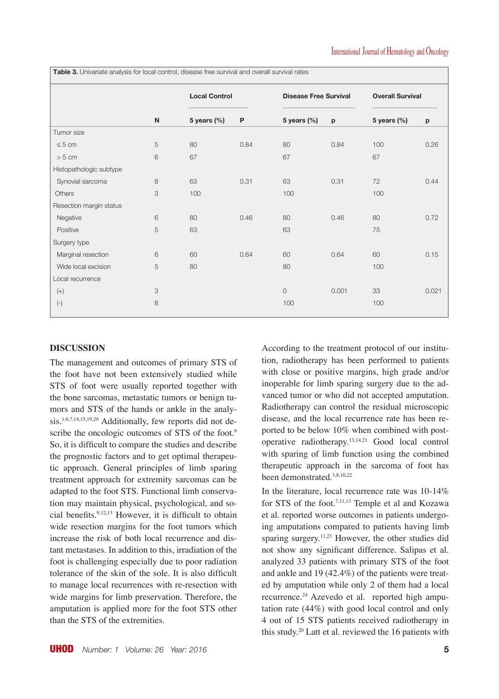**Local Control Disease Free Survival Overall Survival N 5 years (%) P 5 years (%) p 5 years (%) p** Tumor size  $≤ 5 cm$  5 80 0.84 80 0.84 100 0.26 > 5 cm 6 67 67 67 Histopathologic subtype Synovial sarcoma 8 63 0.31 63 0.31 72 0.44 Others 3 100 100 100 100 100 Resection margin status Negative 6 80 0.46 80 0.46 80 0.46 80 0.72 Positive 3 63 63 63 63 75 Surgery type Marginal resection  $6000.64$  60 0.64 60 0.15 Wide local excision  $5$  80 80 80 80 80 80 100 Local recurrence (+) 3 0 0.001 33 0.021 (-) 8 100 100

Table 3. Univariate analysis for local control, disease free survival and overall survival rates

## **DISCUSSION**

The management and outcomes of primary STS of the foot have not been extensively studied while STS of foot were usually reported together with the bone sarcomas, metastatic tumors or benign tumors and STS of the hands or ankle in the analysis.1,6,7,14,15,19,20 Additionally, few reports did not describe the oncologic outcomes of STS of the foot.<sup>6</sup> So, it is difficult to compare the studies and describe the prognostic factors and to get optimal therapeutic approach. General principles of limb sparing treatment approach for extremity sarcomas can be adapted to the foot STS. Functional limb conservation may maintain physical, psychological, and social benefits.9,12,13 However, it is difficult to obtain wide resection margins for the foot tumors which increase the risk of both local recurrence and distant metastases. In addition to this, irradiation of the foot is challenging especially due to poor radiation tolerance of the skin of the sole. It is also difficult to manage local recurrences with re-resection with wide margins for limb preservation. Therefore, the amputation is applied more for the foot STS other than the STS of the extremities.

According to the treatment protocol of our institution, radiotherapy has been performed to patients with close or positive margins, high grade and/or inoperable for limb sparing surgery due to the advanced tumor or who did not accepted amputation. Radiotherapy can control the residual microscopic disease, and the local recurrence rate has been reported to be below 10% when combined with postoperative radiotherapy.13,14,21 Good local control with sparing of limb function using the combined therapeutic approach in the sarcoma of foot has been demonstrated.3,8,10,22

In the literature, local recurrence rate was 10-14% for STS of the foot.<sup>7,11,13</sup> Temple et al and Kozawa et al. reported worse outcomes in patients undergoing amputations compared to patients having limb sparing surgery.11,23 However, the other studies did not show any significant difference. Salipas et al. analyzed 33 patients with primary STS of the foot and ankle and 19 (42.4%) of the patients were treated by amputation while only 2 of them had a local recurrence.24 Azevedo et al. reported high amputation rate (44%) with good local control and only 4 out of 15 STS patients received radiotherapy in this study.20 Latt et al. reviewed the 16 patients with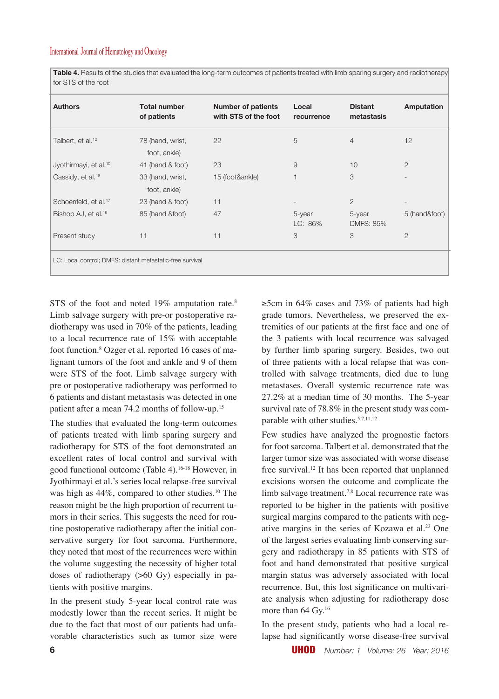**Table 4.** Results of the studies that evaluated the long-term outcomes of patients treated with limb sparing surgery and radiotherapy for STS of the foot

| <b>Authors</b>                                            | <b>Total number</b><br>of patients | <b>Number of patients</b><br>with STS of the foot | Local<br>recurrence | <b>Distant</b><br>metastasis | <b>Amputation</b> |  |  |
|-----------------------------------------------------------|------------------------------------|---------------------------------------------------|---------------------|------------------------------|-------------------|--|--|
| Talbert, et al. <sup>12</sup>                             | 78 (hand, wrist,<br>foot, ankle)   | 22                                                | 5                   | 4                            | 12                |  |  |
| Jyothirmayi, et al. <sup>10</sup>                         | 41 (hand & foot)                   | 23                                                | 9                   | 10                           | $\overline{2}$    |  |  |
| Cassidy, et al. <sup>18</sup>                             | 33 (hand, wrist,                   | 15 (foot&ankle)                                   |                     | 3                            |                   |  |  |
|                                                           | foot, ankle)                       |                                                   |                     |                              |                   |  |  |
| Schoenfeld, et al. <sup>17</sup>                          | 23 (hand & foot)                   | 11                                                |                     | $\overline{2}$               |                   |  |  |
| Bishop AJ, et al. <sup>16</sup>                           | 85 (hand &foot)                    | 47                                                | 5-year<br>LC: 86%   | 5-year<br><b>DMFS: 85%</b>   | 5 (hand&foot)     |  |  |
| Present study                                             | 11                                 | 11                                                | 3                   | 3                            | $\overline{2}$    |  |  |
| LC: Local control; DMFS: distant metastatic-free survival |                                    |                                                   |                     |                              |                   |  |  |

STS of the foot and noted 19% amputation rate.<sup>8</sup> Limb salvage surgery with pre-or postoperative radiotherapy was used in 70% of the patients, leading to a local recurrence rate of 15% with acceptable foot function.8 Ozger et al. reported 16 cases of malignant tumors of the foot and ankle and 9 of them were STS of the foot. Limb salvage surgery with pre or postoperative radiotherapy was performed to 6 patients and distant metastasis was detected in one patient after a mean 74.2 months of follow-up.15

The studies that evaluated the long-term outcomes of patients treated with limb sparing surgery and radiotherapy for STS of the foot demonstrated an excellent rates of local control and survival with good functional outcome (Table 4).16-18 However, in Jyothirmayi et al.'s series local relapse-free survival was high as 44%, compared to other studies.<sup>10</sup> The reason might be the high proportion of recurrent tumors in their series. This suggests the need for routine postoperative radiotherapy after the initial conservative surgery for foot sarcoma. Furthermore, they noted that most of the recurrences were within the volume suggesting the necessity of higher total doses of radiotherapy (>60 Gy) especially in patients with positive margins.

In the present study 5-year local control rate was modestly lower than the recent series. It might be due to the fact that most of our patients had unfavorable characteristics such as tumor size were ≥5cm in 64% cases and 73% of patients had high grade tumors. Nevertheless, we preserved the extremities of our patients at the first face and one of the 3 patients with local recurrence was salvaged by further limb sparing surgery. Besides, two out of three patients with a local relapse that was controlled with salvage treatments, died due to lung metastases. Overall systemic recurrence rate was 27.2% at a median time of 30 months. The 5-year survival rate of 78.8% in the present study was comparable with other studies.<sup>5,7,11,12</sup>

Few studies have analyzed the prognostic factors for foot sarcoma. Talbert et al. demonstrated that the larger tumor size was associated with worse disease free survival.12 It has been reported that unplanned excisions worsen the outcome and complicate the limb salvage treatment.<sup>7,8</sup> Local recurrence rate was reported to be higher in the patients with positive surgical margins compared to the patients with negative margins in the series of Kozawa et al.23 One of the largest series evaluating limb conserving surgery and radiotherapy in 85 patients with STS of foot and hand demonstrated that positive surgical margin status was adversely associated with local recurrence. But, this lost significance on multivariate analysis when adjusting for radiotherapy dose more than 64 Gy.<sup>16</sup>

In the present study, patients who had a local relapse had significantly worse disease-free survival

**6** UHOD *Number: 1 Volume: 26 Year: 2016*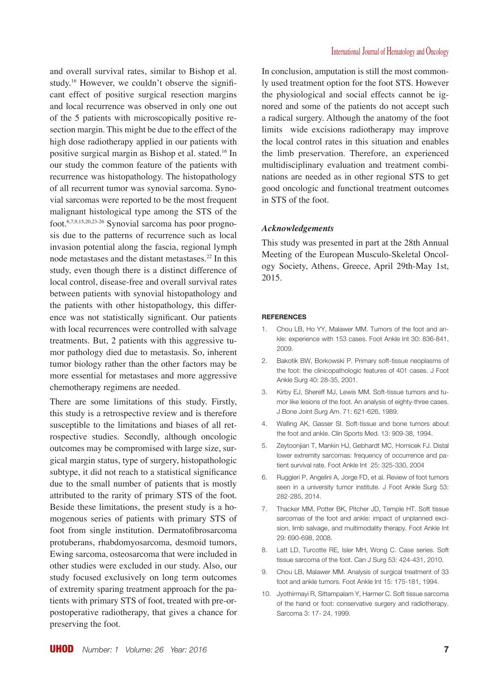and overall survival rates, similar to Bishop et al. study.16 However, we couldn't observe the significant effect of positive surgical resection margins and local recurrence was observed in only one out of the 5 patients with microscopically positive resection margin. This might be due to the effect of the high dose radiotherapy applied in our patients with positive surgical margin as Bishop et al. stated.16 In our study the common feature of the patients with recurrence was histopathology. The histopathology of all recurrent tumor was synovial sarcoma. Synovial sarcomas were reported to be the most frequent malignant histological type among the STS of the foot.6,7,9,15,20,23-26 Synovial sarcoma has poor prognosis due to the patterns of recurrence such as local invasion potential along the fascia, regional lymph node metastases and the distant metastases.22 In this study, even though there is a distinct difference of local control, disease-free and overall survival rates between patients with synovial histopathology and the patients with other histopathology, this difference was not statistically significant. Our patients with local recurrences were controlled with salvage treatments. But, 2 patients with this aggressive tumor pathology died due to metastasis. So, inherent tumor biology rather than the other factors may be more essential for metastases and more aggressive chemotherapy regimens are needed.

There are some limitations of this study. Firstly, this study is a retrospective review and is therefore susceptible to the limitations and biases of all retrospective studies. Secondly, although oncologic outcomes may be compromised with large size, surgical margin status, type of surgery, histopathologic subtype, it did not reach to a statistical significance due to the small number of patients that is mostly attributed to the rarity of primary STS of the foot. Beside these limitations, the present study is a homogenous series of patients with primary STS of foot from single institution. Dermatofibrosarcoma protuberans, rhabdomyosarcoma, desmoid tumors, Ewing sarcoma, osteosarcoma that were included in other studies were excluded in our study. Also, our study focused exclusively on long term outcomes of extremity sparing treatment approach for the patients with primary STS of foot, treated with pre-orpostoperative radiotherapy, that gives a chance for preserving the foot.

In conclusion, amputation is still the most commonly used treatment option for the foot STS. However the physiological and social effects cannot be ignored and some of the patients do not accept such a radical surgery. Although the anatomy of the foot limits wide excisions radiotherapy may improve the local control rates in this situation and enables the limb preservation. Therefore, an experienced multidisciplinary evaluation and treatment combinations are needed as in other regional STS to get good oncologic and functional treatment outcomes in STS of the foot.

## *Acknowledgements*

This study was presented in part at the 28th Annual Meeting of the European Musculo-Skeletal Oncology Society, Athens, Greece, April 29th-May 1st, 2015.

#### **REFERENCES**

- 1. Chou LB, Ho YY, Malawer MM. Tumors of the foot and ankle: experience with 153 cases. Foot Ankle Int 30: 836-841, 2009.
- 2. Bakotik BW, Borkowski P. Primary soft-tissue neoplasms of the foot: the clinicopathologic features of 401 cases. J Foot Ankle Surg 40: 28-35, 2001.
- 3. Kirby EJ, Shereff MJ, Lewis MM. Soft-tissue tumors and tumor like lesions of the foot. An analysis of eighty-three cases. J Bone Joint Surg Am. 71: 621-626, 1989.
- 4. Walling AK, Gasser SI. Soft-tissue and bone tumors about the foot and ankle. Clin Sports Med. 13: 909-38, 1994.
- 5. Zeytoonjian T, Mankin HJ, Gebhardt MC, Hornicek FJ. Distal lower extremity sarcomas: frequency of occurrence and patient survival rate. Foot Ankle Int 25: 325-330, 2004
- 6. Ruggieri P, Angelini A, Jorge FD, et al. Review of foot tumors seen in a university tumor institute. J Foot Ankle Surg 53: 282-285, 2014.
- 7. Thacker MM, Potter BK, Pitcher JD, Temple HT. Soft tissue sarcomas of the foot and ankle: impact of unplanned excision, limb salvage, and multimodality therapy. Foot Ankle Int 29: 690-698, 2008.
- 8. Latt LD, Turcotte RE, Isler MH, Wong C. Case series. Soft tissue sarcoma of the foot. Can J Surg 53: 424-431, 2010.
- 9. Chou LB, Malawer MM. Analysis of surgical treatment of 33 foot and ankle tumors. Foot Ankle Int 15: 175-181, 1994.
- 10. Jyothirmayi R, Sittampalam Y, Harmer C. Soft tissue sarcoma of the hand or foot: conservative surgery and radiotherapy. Sarcoma 3: 17- 24, 1999.